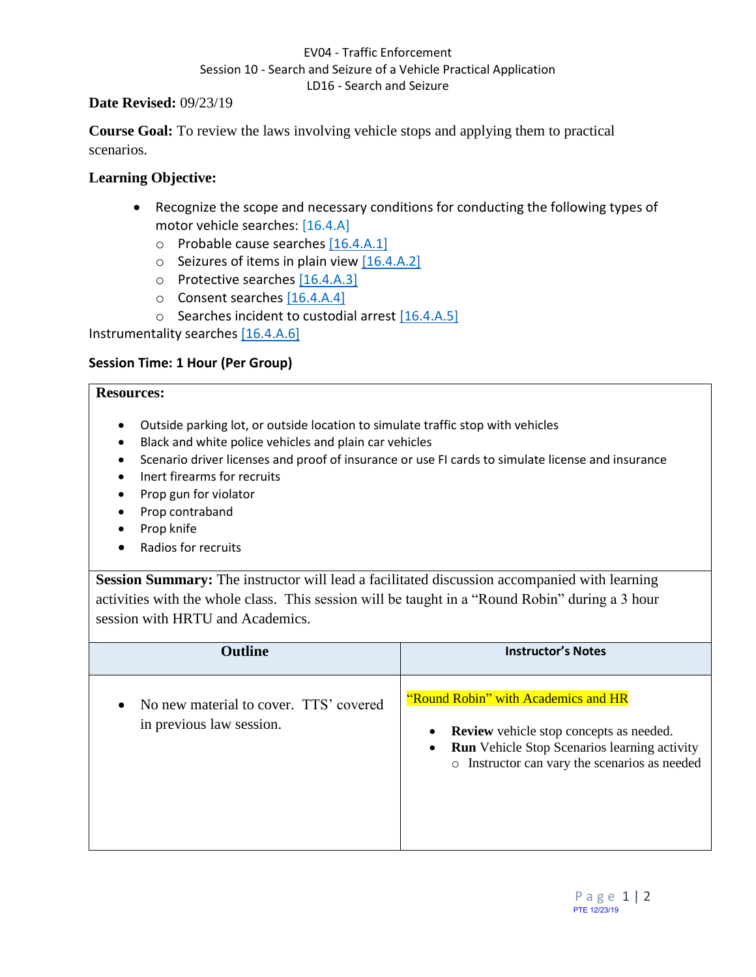### EV04 - Traffic Enforcement Session 10 - Search and Seizure of a Vehicle Practical Application LD16 - Search and Seizure

### **Date Revised:** 09/23/19

**Course Goal:** To review the laws involving vehicle stops and applying them to practical scenarios.

# **Learning Objective:**

- Recognize the scope and necessary conditions for conducting the following types of motor vehicle searches: [16.4.A]
	- o Probable cause searches [16.4.A.1]
	- $\circ$  Seizures of items in plain view [16.4.A.2]
	- o Protective searches [16.4.A.3]
	- o Consent searches [16.4.A.4]
	- o Searches incident to custodial arrest [16.4.A.5]

Instrumentality searches [16.4.A.6]

### **Session Time: 1 Hour (Per Group)**

#### **Resources:**

- Outside parking lot, or outside location to simulate traffic stop with vehicles
- Black and white police vehicles and plain car vehicles
- Scenario driver licenses and proof of insurance or use FI cards to simulate license and insurance
- Inert firearms for recruits
- Prop gun for violator
- Prop contraband
- Prop knife
- Radios for recruits

**Session Summary:** The instructor will lead a facilitated discussion accompanied with learning activities with the whole class. This session will be taught in a "Round Robin" during a 3 hour session with HRTU and Academics.

| <b>Outline</b>                                                     | <b>Instructor's Notes</b>                                                                                                                                                                           |
|--------------------------------------------------------------------|-----------------------------------------------------------------------------------------------------------------------------------------------------------------------------------------------------|
| No new material to cover. TTS' covered<br>in previous law session. | "Round Robin" with Academics and HR<br><b>Review</b> vehicle stop concepts as needed.<br>$\bullet$<br>Run Vehicle Stop Scenarios learning activity<br>o Instructor can vary the scenarios as needed |